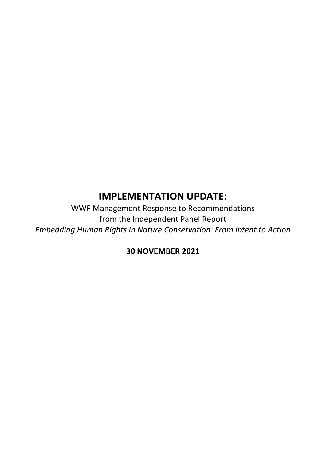# **IMPLEMENTATION UPDATE:**

WWF Management Response to Recommendations from the Independent Panel Report *Embedding Human Rights in Nature Conservation: From Intent to Action*

# **30 NOVEMBER 2021**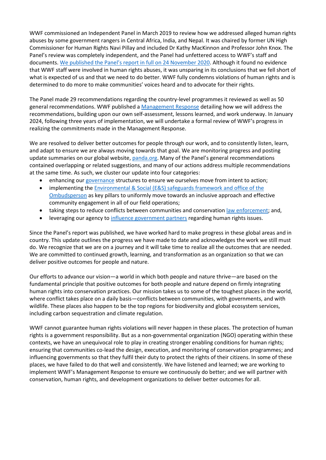WWF commissioned an Independent Panel in March 2019 to review how we addressed alleged human rights abuses by some government rangers in Central Africa, India, and Nepal. It was chaired by former UN High Commissioner for Human Rights Navi Pillay and included Dr Kathy MacKinnon and Professor John Knox. The Panel's review was completely independent, and the Panel had unfettered access to WWF's staff and documents. We [published the Panel's report in full on](https://wwf.panda.org/wwf_news/wwf_independent_review_/) 24 November 2020. Although it found no evidence that WWF staff were involved in human rights abuses, it was unsparing in its conclusions that we fell short of what is expected of us and that we need to do better. WWF fully condemns violations of human rights and is determined to do more to make communities' voices heard and to advocate for their rights.

The Panel made 29 recommendations regarding the country-level programmes it reviewed as well as 50 general recommendations. WWF published a [Management Response](https://wwfint.awsassets.panda.org/downloads/4_ir_wwf_management_response.pdf) detailing how we will address the recommendations, building upon our own self-assessment, lessons learned, and work underway. In January 2024, following three years of implementation, we will undertake a formal review of WWF's progress in realizing the commitments made in the Management Response.

We are resolved to deliver better outcomes for people through our work, and to consistently listen, learn, and adapt to ensure we are always moving towards that goal. We are monitoring progress and posting update summaries on our global website[, panda.org.](https://wwf.panda.org/wwf_news/wwf_independent_review_/) Many of the Panel's general recommendations contained overlapping or related suggestions, and many of our actions address multiple recommendations at the same time. As such, we cluster our update into four categories:

- enhancing ou[r governance](#page-12-0) structures to ensure we ourselves move from intent to action;
- implementing the [Environmental & Social \(E&S\) safeguards framework and office of the](#page-14-0)  [Ombudsperson](#page-14-0) as key pillars to uniformly move towards an inclusive approach and effective community engagement in all of our field operations;
- taking steps to reduce conflicts between communities and conservatio[n law enforcement;](#page-17-0) and,
- leveraging our agency to [influence government partners](#page-20-0) regarding human rights issues.

Since the Panel's report was published, we have worked hard to make progress in these global areas and in country. This update outlines the progress we have made to date and acknowledges the work we still must do. We recognize that we are on a journey and it will take time to realize all the outcomes that are needed. We are committed to continued growth, learning, and transformation as an organization so that we can deliver positive outcomes for people and nature.

Our efforts to advance our vision—a world in which both people and nature thrive—are based on the fundamental principle that positive outcomes for both people and nature depend on firmly integrating human rights into conservation practices. Our mission takes us to some of the toughest places in the world, where conflict takes place on a daily basis—conflicts between communities, with governments, and with wildlife. These places also happen to be the top regions for biodiversity and global ecosystem services, including carbon sequestration and climate regulation.

WWF cannot guarantee human rights violations will never happen in these places. The protection of human rights is a government responsibility. But as a non-governmental organization (NGO) operating within these contexts, we have an unequivocal role to play in creating stronger enabling conditions for human rights; ensuring that communities co-lead the design, execution, and monitoring of conservation programmes; and influencing governments so that they fulfil their duty to protect the rights of their citizens. In some of these places, we have failed to do that well and consistently. We have listened and learned; we are working to implement WWF's Management Response to ensure we continuously do better; and we will partner with conservation, human rights, and development organizations to deliver better outcomes for all.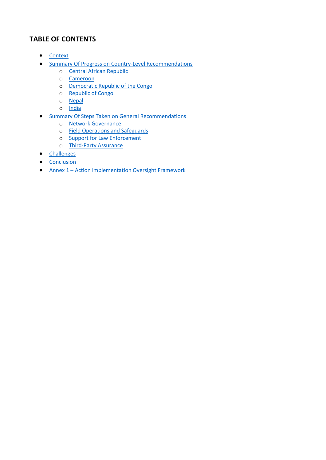# **TABLE OF CONTENTS**

- [Context](#page-3-0)
- [Summary Of Progress on Country-Level Recommendations](#page-4-0)
	- o [Central African Republic](#page-4-0)
	- o [Cameroon](#page-4-1)
	- o [Democratic Republic of the Congo](#page-6-0)
	- o [Republic of Congo](#page-8-0)
	- o [Nepal](#page-10-0)
	- o [India](#page-12-1)
- [Summary Of Steps Taken on General Recommendations](#page-12-2)
	- o [Network Governance](#page-12-0)
	- o [Field Operations and Safeguards](#page-14-0)
	- o [Support for Law Enforcement](#page-17-0)
	- o [Third-Party Assurance](#page-20-0)
- [Challenges](#page-21-0)
- [Conclusion](#page-23-0)
- Annex 1 [Action Implementation Oversight Framework](#page-25-0)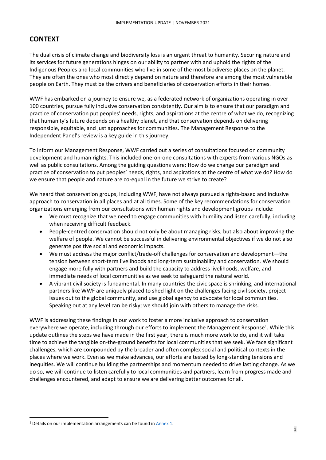# <span id="page-3-0"></span>**CONTEXT**

The dual crisis of climate change and biodiversity loss is an urgent threat to humanity. Securing nature and its services for future generations hinges on our ability to partner with and uphold the rights of the Indigenous Peoples and local communities who live in some of the most biodiverse places on the planet. They are often the ones who most directly depend on nature and therefore are among the most vulnerable people on Earth. They must be the drivers and beneficiaries of conservation efforts in their homes.

WWF has embarked on a journey to ensure we, as a federated network of organizations operating in over 100 countries, pursue fully inclusive conservation consistently. Our aim is to ensure that our paradigm and practice of conservation put peoples' needs, rights, and aspirations at the centre of what we do, recognizing that humanity's future depends on a healthy planet, and that conservation depends on delivering responsible, equitable, and just approaches for communities. The Management Response to the Independent Panel's review is a key guide in this journey.

To inform our Management Response, WWF carried out a series of consultations focused on community development and human rights. This included one-on-one consultations with experts from various NGOs as well as public consultations. Among the guiding questions were: How do we change our paradigm and practice of conservation to put peoples' needs, rights, and aspirations at the centre of what we do? How do we ensure that people and nature are co-equal in the future we strive to create?

We heard that conservation groups, including WWF, have not always pursued a rights-based and inclusive approach to conservation in all places and at all times. Some of the key recommendations for conservation organizations emerging from our consultations with human rights and development groups include:

- We must recognize that we need to engage communities with humility and listen carefully, including when receiving difficult feedback.
- People-centred conservation should not only be about managing risks, but also about improving the welfare of people. We cannot be successful in delivering environmental objectives if we do not also generate positive social and economic impacts.
- We must address the major conflict/trade-off challenges for conservation and development—the tension between short-term livelihoods and long-term sustainability and conservation. We should engage more fully with partners and build the capacity to address livelihoods, welfare, and immediate needs of local communities as we seek to safeguard the natural world.
- A vibrant civil society is fundamental. In many countries the civic space is shrinking, and international partners like WWF are uniquely placed to shed light on the challenges facing civil society, project issues out to the global community, and use global agency to advocate for local communities. Speaking out at any level can be risky; we should join with others to manage the risks.

WWF is addressing these findings in our work to foster a more inclusive approach to conservation everywhere we operate, including through our efforts to implement the Management Response<sup>1</sup>. While this update outlines the steps we have made in the first year, there is much more work to do, and it will take time to achieve the tangible on-the-ground benefits for local communities that we seek. We face significant challenges, which are compounded by the broader and often complex social and political contexts in the places where we work. Even as we make advances, our efforts are tested by long-standing tensions and inequities. We will continue building the partnerships and momentum needed to drive lasting change. As we do so, we will continue to listen carefully to local communities and partners, learn from progress made and challenges encountered, and adapt to ensure we are delivering better outcomes for all.

 $1$  Details on our implementation arrangements can be found in  $\Delta$ nnex 1.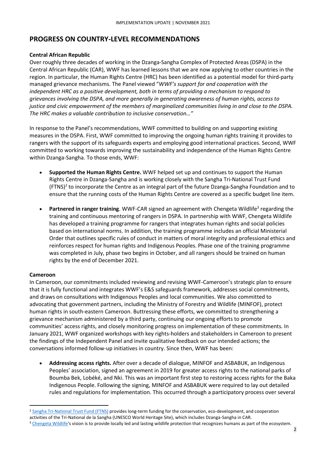# <span id="page-4-0"></span>**PROGRESS ON COUNTRY-LEVEL RECOMMENDATIONS**

#### **Central African Republic**

Over roughly three decades of working in the Dzanga-Sangha Complex of Protected Areas (DSPA) in the Central African Republic (CAR), WWF has learned lessons that we are now applying to other countries in the region. In particular, the Human Rights Centre (HRC) has been identified as a potential model for third-party managed grievance mechanisms. The Panel viewed "*WWF's support for and cooperation with the independent HRC as a positive development, both in terms of providing a mechanism to respond to grievances involving the DSPA, and more generally in generating awareness of human rights, access to justice and civic empowerment of the members of marginalized communities living in and close to the DSPA. The HRC makes a valuable contribution to inclusive conservation…"*

In response to the Panel's recommendations, WWF committed to building on and supporting existing measures in the DSPA. First, WWF committed to improving the ongoing human rights training it provides to rangers with the support of its safeguards experts and employing good international practices. Second, WWF committed to working towards improving the sustainability and independence of the Human Rights Centre within Dzanga-Sangha. To those ends, WWF:

- **Supported the Human Rights Centre.** WWF helped set up and continues to support the Human Rights Centre in Dzanga-Sangha and is working closely with the Sangha Tri-National Trust Fund (FTNS)<sup>2</sup> to incorporate the Centre as an integral part of the future Dzanga-Sangha Foundation and to ensure that the running costs of the Human Rights Centre are covered as a specific budget line item.
- **Partnered in ranger training**. WWF-CAR signed an agreement with Chengeta Wildlife<sup>3</sup> regarding the training and continuous mentoring of rangers in DSPA. In partnership with WWF, Chengeta Wildlife has developed a training programme for rangers that integrates human rights and social policies based on international norms. In addition, the training programme includes an official Ministerial Order that outlines specific rules of conduct in matters of moral integrity and professional ethics and reinforces respect for human rights and Indigenous Peoples. Phase one of the training programme was completed in July, phase two begins in October, and all rangers should be trained on human rights by the end of December 2021.

#### <span id="page-4-1"></span>**Cameroon**

In Cameroon, our commitments included reviewing and revising WWF-Cameroon's strategic plan to ensure that it is fully functional and integrates WWF's E&S safeguards framework, addresses social commitments, and draws on consultations with Indigenous Peoples and local communities. We also committed to advocating that government partners, including the Ministry of Forestry and Wildlife (MINFOF), protect human rights in south-eastern Cameroon. Buttressing these efforts, we committed to strengthening a grievance mechanism administered by a third party, continuing our ongoing efforts to promote communities' access rights, and closely monitoring progress on implementation of these commitments. In January 2021, WWF organized workshops with key rights-holders and stakeholders in Cameroon to present the findings of the Independent Panel and invite qualitative feedback on our intended actions; the conversations informed follow-up initiatives in country. Since then, WWF has been:

• **Addressing access rights.** After over a decade of dialogue, MINFOF and ASBABUK, an Indigenous Peoples' association, signed an agreement in 2019 for greater access rights to the national parks of Boumba Bek, Lobéké, and Nki. This was an important first step to restoring access rights for the Baka Indigenous People. Following the signing, MINFOF and ASBABUK were required to lay out detailed rules and regulations for implementation. This occurred through a participatory process over several

<sup>2</sup> [Sangha Tri-National Trust Fund \(FTNS\)](https://fondationtns.org/en/) provides long-term funding for the conservation, eco-development, and cooperation activities of the Tri-National de la Sangha (UNESCO World Heritage Site), which includes Dzanga-Sangha in CAR.

<sup>&</sup>lt;sup>3</sup> [Chengeta Wildlife'](https://chengetawildlife.org/)s vision is to provide locally led and lasting wildlife protection that recognizes humans as part of the ecosystem.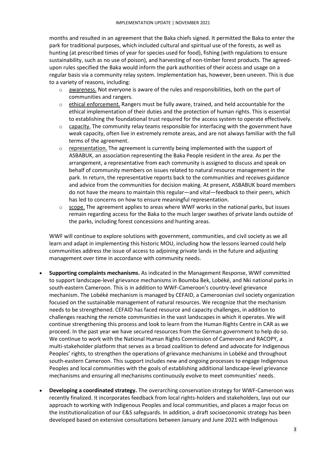months and resulted in an agreement that the Baka chiefs signed. It permitted the Baka to enter the park for traditional purposes, which included cultural and spiritual use of the forests, as well as hunting (at prescribed times of year for species used for food), fishing (with regulations to ensure sustainability, such as no use of poison), and harvesting of non-timber forest products. The agreedupon rules specified the Baka would inform the park authorities of their access and usage on a regular basis via a community relay system. Implementation has, however, been uneven. This is due to a variety of reasons, including:

- $\circ$  awareness. Not everyone is aware of the rules and responsibilities, both on the part of communities and rangers.
- o ethical enforcement. Rangers must be fully aware, trained, and held accountable for the ethical implementation of their duties and the protection of human rights. This is essential to establishing the foundational trust required for the access system to operate effectively.
- $\circ$  capacity. The community relay teams responsible for interfacing with the government have weak capacity, often live in extremely remote areas, and are not always familiar with the full terms of the agreement.
- $\circ$  representation. The agreement is currently being implemented with the support of ASBABUK, an association representing the Baka People resident in the area. As per the arrangement, a representative from each community is assigned to discuss and speak on behalf of community members on issues related to natural resource management in the park. In return, the representative reports back to the communities and receives guidance and advice from the communities for decision making. At present, ASBABUK board members do not have the means to maintain this regular—and vital—feedback to their peers, which has led to concerns on how to ensure meaningful representation.
- $\circ$  scope. The agreement applies to areas where WWF works in the national parks, but issues remain regarding access for the Baka to the much larger swathes of private lands outside of the parks, including forest concessions and hunting areas.

WWF will continue to explore solutions with government, communities, and civil society as we all learn and adapt in implementing this historic MOU, including how the lessons learned could help communities address the issue of access to adjoining private lands in the future and adjusting management over time in accordance with community needs.

- **Supporting complaints mechanisms.** As indicated in the Management Response, WWF committed to support landscape-level grievance mechanisms in Boumba Bek, Lobéké, and Nki national parks in south-eastern Cameroon. This is in addition to WWF-Cameroon's country-level grievance mechanism. The Lobéké mechanism is managed by CEFAID, a Cameroonian civil society organization focused on the sustainable management of natural resources. We recognize that the mechanism needs to be strengthened. CEFAID has faced resource and capacity challenges, in addition to challenges reaching the remote communities in the vast landscapes in which it operates. We will continue strengthening this process and look to learn from the Human Rights Centre in CAR as we proceed. In the past year we have secured resources from the German government to help do so. We continue to work with the National Human Rights Commission of Cameroon and RACOPY, a multi-stakeholder platform that serves as a broad coalition to defend and advocate for Indigenous Peoples' rights, to strengthen the operations of grievance mechanisms in Lobéké and throughout south-eastern Cameroon. This support includes new and ongoing processes to engage Indigenous Peoples and local communities with the goals of establishing additional landscape-level grievance mechanisms and ensuring all mechanisms continuously evolve to meet communities' needs.
- **Developing a coordinated strategy.** The overarching conservation strategy for WWF-Cameroon was recently finalized. It incorporates feedback from local rights-holders and stakeholders, lays out our approach to working with Indigenous Peoples and local communities, and places a major focus on the institutionalization of our E&S safeguards. In addition, a draft socioeconomic strategy has been developed based on extensive consultations between January and June 2021 with Indigenous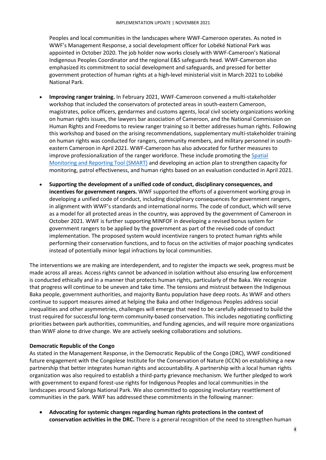Peoples and local communities in the landscapes where WWF-Cameroon operates. As noted in WWF's Management Response, a social development officer for Lobéké National Park was appointed in October 2020. The job holder now works closely with WWF-Cameroon's National Indigenous Peoples Coordinator and the regional E&S safeguards head. WWF-Cameroon also emphasized its commitment to social development and safeguards, and pressed for better government protection of human rights at a high-level ministerial visit in March 2021 to Lobéké National Park.

- **Improving ranger training.** In February 2021, WWF-Cameroon convened a multi-stakeholder workshop that included the conservators of protected areas in south-eastern Cameroon, magistrates, police officers, gendarmes and customs agents, local civil society organizations working on human rights issues, the lawyers bar association of Cameroon, and the National Commission on Human Rights and Freedoms to review ranger training so it better addresses human rights. Following this workshop and based on the arising recommendations, supplementary multi-stakeholder training on human rights was conducted for rangers, community members, and military personnel in southeastern Cameroon in April 2021. WWF-Cameroon has also advocated for further measures to improve professionalization of the ranger workforce. These include promoting th[e Spatial](#page-19-0)  [Monitoring and Reporting Tool \(SMART\)](#page-19-0) and developing an action plan to strengthen capacity for monitoring, patrol effectiveness, and human rights based on an evaluation conducted in April 2021.
- **Supporting the development of a unified code of conduct, disciplinary consequences, and incentives for government rangers.** WWF supported the efforts of a government working group in developing a unified code of conduct, including disciplinary consequences for government rangers, in alignment with WWF's standards and international norms. The code of conduct, which will serve as a model for all protected areas in the country, was approved by the government of Cameroon in October 2021. WWF is further supporting MINFOF in developing a revised bonus system for government rangers to be applied by the government as part of the revised code of conduct implementation. The proposed system would incentivize rangers to protect human rights while performing their conservation functions, and to focus on the activities of major poaching syndicates instead of potentially minor legal infractions by local communities.

The interventions we are making are interdependent, and to register the impacts we seek, progress must be made across all areas. Access rights cannot be advanced in isolation without also ensuring law enforcement is conducted ethically and in a manner that protects human rights, particularly of the Baka. We recognize that progress will continue to be uneven and take time. The tensions and mistrust between the Indigenous Baka people, government authorities, and majority Bantu population have deep roots. As WWF and others continue to support measures aimed at helping the Baka and other Indigenous Peoples address social inequalities and other asymmetries, challenges will emerge that need to be carefully addressed to build the trust required for successful long-term community-based conservation. This includes negotiating conflicting priorities between park authorities, communities, and funding agencies, and will require more organizations than WWF alone to drive change. We are actively seeking collaborations and solutions.

#### <span id="page-6-0"></span>**Democratic Republic of the Congo**

As stated in the Management Response, in the Democratic Republic of the Congo (DRC), WWF conditioned future engagement with the Congolese Institute for the Conservation of Nature (ICCN) on establishing a new partnership that better integrates human rights and accountability. A partnership with a local human rights organization was also required to establish a third-party grievance mechanism. We further pledged to work with government to expand forest-use rights for Indigenous Peoples and local communities in the landscapes around Salonga National Park. We also committed to opposing involuntary resettlement of communities in the park. WWF has addressed these commitments in the following manner:

• **Advocating for systemic changes regarding human rights protections in the context of conservation activities in the DRC.** There is a general recognition of the need to strengthen human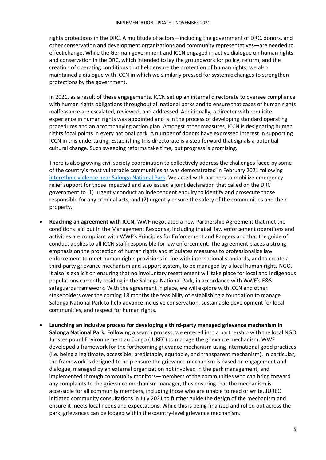rights protections in the DRC. A multitude of actors—including the government of DRC, donors, and other conservation and development organizations and community representatives—are needed to effect change. While the German government and ICCN engaged in active dialogue on human rights and conservation in the DRC, which intended to lay the groundwork for policy, reform, and the creation of operating conditions that help ensure the protection of human rights, we also maintained a dialogue with ICCN in which we similarly pressed for systemic changes to strengthen protections by the government.

In 2021, as a result of these engagements, ICCN set up an internal directorate to oversee compliance with human rights obligations throughout all national parks and to ensure that cases of human rights malfeasance are escalated, reviewed, and addressed. Additionally, a director with requisite experience in human rights was appointed and is in the process of developing standard operating procedures and an accompanying action plan. Amongst other measures, ICCN is designating human rights focal points in every national park. A number of donors have expressed interest in supporting ICCN in this undertaking. Establishing this directorate is a step forward that signals a potential cultural change. Such sweeping reforms take time, but progress is promising.

There is also growing civil society coordination to collectively address the challenges faced by some of the country's most vulnerable communities as was demonstrated in [February 2021 following](https://www.wwfdrc.org/en/our_news/latest_news/?33582/Joint-Statement-on-inter-ethnic-clashes-near-DRCs-Salonga-National-Park)  [interethnic violence near Salonga National Park.](https://www.wwfdrc.org/en/our_news/latest_news/?33582/Joint-Statement-on-inter-ethnic-clashes-near-DRCs-Salonga-National-Park) We acted with partners to mobilize emergency relief support for those impacted and also issued a joint declaration that called on the DRC government to (1) urgently conduct an independent enquiry to identify and prosecute those responsible for any criminal acts, and (2) urgently ensure the safety of the communities and their property.

- **Reaching an agreement with ICCN.** WWF negotiated a new Partnership Agreement that met the conditions laid out in the Management Response, including that all law enforcement operations and activities are compliant with WWF's Principles for Enforcement and Rangers and that the guide of conduct applies to all ICCN staff responsible for law enforcement. The agreement places a strong emphasis on the protection of human rights and stipulates measures to professionalize law enforcement to meet human rights provisions in line with international standards, and to create a third-party grievance mechanism and support system, to be managed by a local human rights NGO. It also is explicit on ensuring that no involuntary resettlement will take place for local and Indigenous populations currently residing in the Salonga National Park, in accordance with WWF's E&S safeguards framework. With the agreement in place, we will explore with ICCN and other stakeholders over the coming 18 months the feasibility of establishing a foundation to manage Salonga National Park to help advance inclusive conservation, sustainable development for local communities, and respect for human rights.
- **Launching an inclusive process for developing a third-party managed grievance mechanism in Salonga National Park.** Following a search process, we entered into a partnership with the local NGO Juristes pour l'Environnement au Congo (JUREC) to manage the grievance mechanism. WWF developed a framework for the forthcoming grievance mechanism using international good practices (i.e. being a legitimate, accessible, predictable, equitable, and transparent mechanism). In particular, the framework is designed to help ensure the grievance mechanism is based on engagement and dialogue, managed by an external organization not involved in the park management, and implemented through community monitors—members of the communities who can bring forward any complaints to the grievance mechanism manager, thus ensuring that the mechanism is accessible for all community members, including those who are unable to read or write. JUREC initiated community consultations in July 2021 to further guide the design of the mechanism and ensure it meets local needs and expectations. While this is being finalized and rolled out across the park, grievances can be lodged within the country-level grievance mechanism.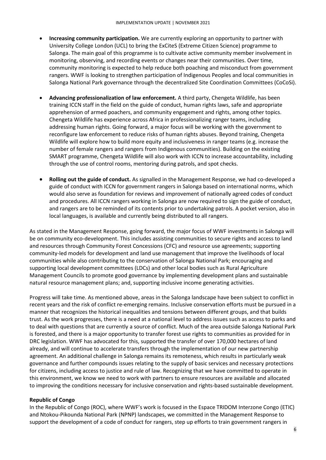- **Increasing community participation.** We are currently exploring an opportunity to partner with University College London (UCL) to bring the ExCiteS (Extreme Citizen Science) programme to Salonga. The main goal of this programme is to cultivate active community member involvement in monitoring, observing, and recording events or changes near their communities. Over time, community monitoring is expected to help reduce both poaching and misconduct from government rangers. WWF is looking to strengthen participation of Indigenous Peoples and local communities in Salonga National Park governance through the decentralized Site Coordination Committees (CoCoSi).
- **Advancing professionalization of law enforcement.** A third party, Chengeta Wildlife, has been training ICCN staff in the field on the guide of conduct, human rights laws, safe and appropriate apprehension of armed poachers, and community engagement and rights, among other topics. Chengeta Wildlife has experience across Africa in professionalizing ranger teams, including addressing human rights. Going forward, a major focus will be working with the government to reconfigure law enforcement to reduce risks of human rights abuses. Beyond training, Chengeta Wildlife will explore how to build more equity and inclusiveness in ranger teams (e.g. increase the number of female rangers and rangers from Indigenous communities). Building on the existing SMART programme, Chengeta Wildlife will also work with ICCN to increase accountability, including through the use of control rooms, mentoring during patrols, and spot checks.
- **Rolling out the guide of conduct.** As signalled in the Management Response, we had co-developed a guide of conduct with ICCN for government rangers in Salonga based on international norms, which would also serve as foundation for reviews and improvement of nationally agreed codes of conduct and procedures. All ICCN rangers working in Salonga are now required to sign the guide of conduct, and rangers are to be reminded of its contents prior to undertaking patrols. A pocket version, also in local languages, is available and currently being distributed to all rangers.

As stated in the Management Response, going forward, the major focus of WWF investments in Salonga will be on community eco-development. This includes assisting communities to secure rights and access to land and resources through Community Forest Concessions (CFC) and resource use agreements; supporting community-led models for development and land use management that improve the livelihoods of local communities while also contributing to the conservation of Salonga National Park; encouraging and supporting local development committees (LDCs) and other local bodies such as Rural Agriculture Management Councils to promote good governance by implementing development plans and sustainable natural resource management plans; and, supporting inclusive income generating activities.

Progress will take time. As mentioned above, areas in the Salonga landscape have been subject to conflict in recent years and the risk of conflict re-emerging remains. Inclusive conservation efforts must be pursued in a manner that recognizes the historical inequalities and tensions between different groups, and that builds trust. As the work progresses, there is a need at a national level to address issues such as access to parks and to deal with questions that are currently a source of conflict. Much of the area outside Salonga National Park is forested, and there is a major opportunity to transfer forest use rights to communities as provided for in DRC legislation. WWF has advocated for this, supported the transfer of over 170,000 hectares of land already, and will continue to accelerate transfers through the implementation of our new partnership agreement. An additional challenge in Salonga remains its remoteness, which results in particularly weak governance and further compounds issues relating to the supply of basic services and necessary protections for citizens, including access to justice and rule of law. Recognizing that we have committed to operate in this environment, we know we need to work with partners to ensure resources are available and allocated to improving the conditions necessary for inclusive conservation and rights-based sustainable development.

#### <span id="page-8-0"></span>**Republic of Congo**

In the Republic of Congo (ROC), where WWF's work is focused in the Espace TRIDOM Interzone Congo (ETIC) and Ntokou-Pikounda National Park (NPNP) landscapes, we committed in the Management Response to support the development of a code of conduct for rangers, step up efforts to train government rangers in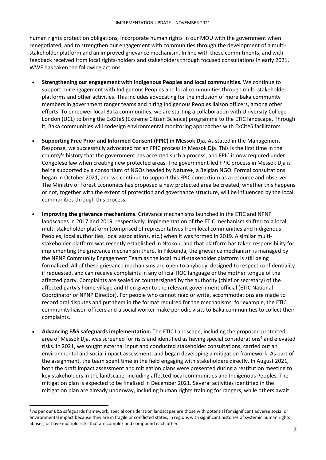human rights protection obligations, incorporate human rights in our MOU with the government when renegotiated, and to strengthen our engagement with communities through the development of a multistakeholder platform and an improved grievance mechanism. In line with these commitments, and with feedback received from local rights-holders and stakeholders through focused consultations in early 2021, WWF has taken the following actions:

- **Strengthening our engagement with Indigenous Peoples and local communities.** We continue to support our engagement with Indigenous Peoples and local communities through multi-stakeholder platforms and other activities. This includes advocating for the inclusion of more Baka community members in government ranger teams and hiring Indigenous Peoples liaison officers, among other efforts. To empower local Baka communities, we are starting a collaboration with University College London (UCL) to bring the ExCiteS (Extreme Citizen Science) programme to the ETIC landscape. Through it, Baka communities will codesign environmental monitoring approaches with ExCiteS facilitators.
- **Supporting Free Prior and Informed Consent (FPIC) in Messok Dja.** As stated in the Management Response, we successfully advocated for an FPIC process in Messok Dja. This is the first time in the country's history that the government has accepted such a process, and FPIC is now required under Congolese law when creating new protected areas. The government-led FPIC process in Messok Dja is being supported by a consortium of NGOs headed by Nature+, a Belgian NGO. Formal consultations began in October 2021, and we continue to support this FPIC consortium as a resource and observer. The Ministry of Forest Economics has proposed a new protected area be created; whether this happens or not, together with the extent of protection and governance structure, will be influenced by the local communities through this process.
- **Improving the grievance mechanisms**. Grievance mechanisms launched in the ETIC and NPNP landscapes in 2017 and 2019, respectively. Implementation of the ETIC mechanism shifted to a local multi-stakeholder platform (comprised of representatives from local communities and Indigenous Peoples, local authorities, local associations, etc.) when it was formed in 2019. A similar multistakeholder platform was recently established in Ntokou, and that platform has taken responsibility for implementing the grievance mechanism there. In Pikounda, the grievance mechanism is managed by the NPNP Community Engagement Team as the local multi-stakeholder platform is still being formalized. All of these grievance mechanisms are open to anybody, designed to respect confidentiality if requested, and can receive complaints in any official ROC language or the mother tongue of the affected party. Complaints are sealed or countersigned by the authority (chief or secretary) of the affected party's home village and then given to the relevant government official (ETIC National Coordinator or NPNP Director). For people who cannot read or write, accommodations are made to record oral disputes and put them in the format required for the mechanisms; for example, the ETIC community liaison officers and a social worker make periodic visits to Baka communities to collect their complaints.
- **Advancing E&S safeguards implementation.** The ETIC Landscape, including the proposed protected area of Messok Dja, was screened for risks and identified as having special considerations <sup>4</sup> and elevated risks. In 2021, we sought external input and conducted stakeholder consultations, carried out an environmental and social impact assessment, and began developing a mitigation framework. As part of the assignment, the team spent time in the field engaging with stakeholders directly. In August 2021, both the draft impact assessment and mitigation plans were presented during a restitution meeting to key stakeholders in the landscape, including affected local communities and Indigenous Peoples. The mitigation plan is expected to be finalized in December 2021. Several activities identified in the mitigation plan are already underway, including human rights training for rangers, while others await

<sup>4</sup> As per our E&S safeguards framework, special consideration landscapes are those with potential for significant adverse social or environmental impact because they are in fragile or conflicted states, in regions with significant histories of systemic human rights abuses, or have multiple risks that are complex and compound each other.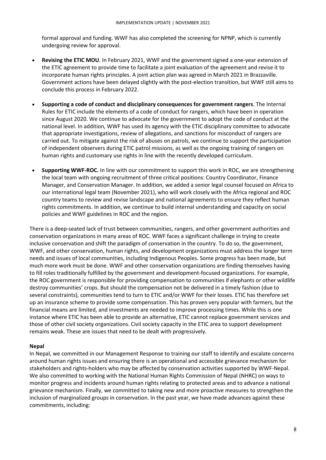formal approval and funding. WWF has also completed the screening for NPNP, which is currently undergoing review for approval.

- **Revising the ETIC MOU**. In February 2021, WWF and the government signed a one-year extension of the ETIC agreement to provide time to facilitate a joint evaluation of the agreement and revise it to incorporate human rights principles. A joint action plan was agreed in March 2021 in Brazzaville. Government actions have been delayed slightly with the post-election transition, but WWF still aims to conclude this process in February 2022.
- **Supporting a code of conduct and disciplinary consequences for government rangers**. The Internal Rules for ETIC include the elements of a code of conduct for rangers, which have been in operation since August 2020. We continue to advocate for the government to adopt the code of conduct at the national level. In addition, WWF has used its agency with the ETIC disciplinary committee to advocate that appropriate investigations, review of allegations, and sanctions for misconduct of rangers are carried out. To mitigate against the risk of abuses on patrols, we continue to support the participation of independent observers during ETIC patrol missions, as well as the ongoing training of rangers on human rights and customary use rights in line with the recently developed curriculum.
- **Supporting WWF-ROC.** In line with our commitment to support this work in ROC, we are strengthening the local team with ongoing recruitment of three critical positions: Country Coordinator, Finance Manager, and Conservation Manager. In addition, we added a senior legal counsel focused on Africa to our international legal team (November 2021), who will work closely with the Africa regional and ROC country teams to review and revise landscape and national agreements to ensure they reflect human rights commitments. In addition, we continue to build internal understanding and capacity on social policies and WWF guidelines in ROC and the region.

There is a deep-seated lack of trust between communities, rangers, and other government authorities and conservation organizations in many areas of ROC. WWF faces a significant challenge in trying to create inclusive conservation and shift the paradigm of conservation in the country. To do so, the government, WWF, and other conservation, human rights, and development organizations must address the longer term needs and issues of local communities, including Indigenous Peoples. Some progress has been made, but much more work must be done. WWF and other conservation organizations are finding themselves having to fill roles traditionally fulfilled by the government and development-focused organizations. For example, the ROC government is responsible for providing compensation to communities if elephants or other wildlife destroy communities' crops. But should the compensation not be delivered in a timely fashion (due to several constraints), communities tend to turn to ETIC and/or WWF for their losses. ETIC has therefore set up an insurance scheme to provide some compensation. This has proven very popular with farmers, but the financial means are limited, and investments are needed to improve processing times. While this is one instance where ETIC has been able to provide an alternative, ETIC cannot replace government services and those of other civil society organizations. Civil society capacity in the ETIC area to support development remains weak. These are issues that need to be dealt with progressively.

#### <span id="page-10-0"></span>**Nepal**

In Nepal, we committed in our Management Response to training our staff to identify and escalate concerns around human rights issues and ensuring there is an operational and accessible grievance mechanism for stakeholders and rights-holders who may be affected by conservation activities supported by WWF-Nepal. We also committed to working with the National Human Rights Commission of Nepal (NHRC) on ways to monitor progress and incidents around human rights relating to protected areas and to advance a national grievance mechanism. Finally, we committed to taking new and more proactive measures to strengthen the inclusion of marginalized groups in conservation. In the past year, we have made advances against these commitments, including: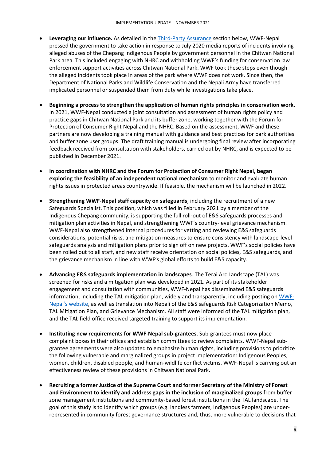- **Leveraging our influence.** As detailed in the [Third-Party Assurance](#page-20-0) section below, WWF-Nepal pressed the government to take action in response to July 2020 media reports of incidents involving alleged abuses of the Chepang Indigenous People by government personnel in the Chitwan National Park area. This included engaging with NHRC and withholding WWF's funding for conservation law enforcement support activities across Chitwan National Park. WWF took these steps even though the alleged incidents took place in areas of the park where WWF does not work. Since then, the Department of National Parks and Wildlife Conservation and the Nepali Army have transferred implicated personnel or suspended them from duty while investigations take place.
- **Beginning a process to strengthen the application of human rights principles in conservation work.** In 2021, WWF-Nepal conducted a joint consultation and assessment of human rights policy and practice gaps in Chitwan National Park and its buffer zone, working together with the Forum for Protection of Consumer Right Nepal and the NHRC. Based on the assessment, WWF and these partners are now developing a training manual with guidance and best practices for park authorities and buffer zone user groups. The draft training manual is undergoing final review after incorporating feedback received from consultation with stakeholders, carried out by NHRC, and is expected to be published in December 2021.
- **In coordination with NHRC and the Forum for Protection of Consumer Right Nepal, began exploring the feasibility of an independent national mechanism** to monitor and evaluate human rights issues in protected areas countrywide. If feasible, the mechanism will be launched in 2022.
- **Strengthening WWF-Nepal staff capacity on safeguards**, including the recruitment of a new Safeguards Specialist. This position, which was filled in February 2021 by a member of the Indigenous Chepang community, is supporting the full roll-out of E&S safeguards processes and mitigation plan activities in Nepal, and strengthening WWF's country-level grievance mechanism. WWF-Nepal also strengthened internal procedures for vetting and reviewing E&S safeguards considerations, potential risks, and mitigation measures to ensure consistency with landscape-level safeguards analysis and mitigation plans prior to sign off on new projects. WWF's social policies have been rolled out to all staff, and new staff receive orientation on social policies, E&S safeguards, and the grievance mechanism in line with WWF's global efforts to build E&S capacity.
- **Advancing E&S safeguards implementation in landscapes**. The Terai Arc Landscape (TAL) was screened for risks and a mitigation plan was developed in 2021. As part of its stakeholder engagement and consultation with communities, WWF-Nepal has disseminated E&S safeguards information, including the TAL mitigation plan, widely and transparently, including posting o[n WWF-](https://www.wwfnepal.org/safeguards/)[Nepal's website](https://www.wwfnepal.org/safeguards/), as well as translation into Nepali of the E&S safeguards Risk Categorization Memo, TAL Mitigation Plan, and Grievance Mechanism. All staff were informed of the TAL mitigation plan, and the TAL field office received targeted training to support its implementation.
- **Instituting new requirements for WWF-Nepal sub-grantees**. Sub-grantees must now place complaint boxes in their offices and establish committees to review complaints. WWF-Nepal subgrantee agreements were also updated to emphasize human rights, including provisions to prioritize the following vulnerable and marginalized groups in project implementation: Indigenous Peoples, women, children, disabled people, and human-wildlife conflict victims. WWF-Nepal is carrying out an effectiveness review of these provisions in Chitwan National Park.
- **Recruiting a former Justice of the Supreme Court and former Secretary of the Ministry of Forest and Environment to identify and address gaps in the inclusion of marginalized groups** from buffer zone management institutions and community-based forest institutions in the TAL landscape. The goal of this study is to identify which groups (e.g. landless farmers, Indigenous Peoples) are underrepresented in community forest governance structures and, thus, more vulnerable to decisions that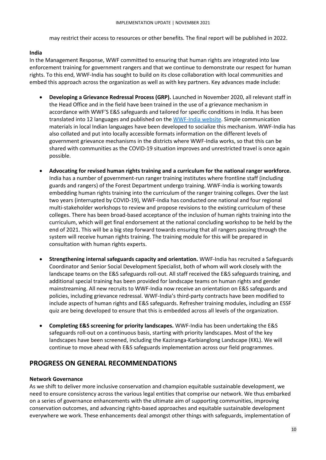may restrict their access to resources or other benefits. The final report will be published in 2022.

#### <span id="page-12-1"></span>**India**

In the Management Response, WWF committed to ensuring that human rights are integrated into law enforcement training for government rangers and that we continue to demonstrate our respect for human rights. To this end, WWF-India has sought to build on its close collaboration with local communities and embed this approach across the organization as well as with key partners. Key advances made include:

- **Developing a Grievance Redressal Process (GRP).** Launched in November 2020, all relevant staff in the Head Office and in the field have been trained in the use of a grievance mechanism in accordance with WWF'S E&S safeguards and tailored for specific conditions in India. It has been translated into 12 languages and published on the [WWF-India website.](https://www.wwfindia.org/comments_and_concerns/) Simple communication materials in local Indian languages have been developed to socialize this mechanism. WWF-India has also collated and put into locally accessible formats information on the different levels of government grievance mechanisms in the districts where WWF-India works, so that this can be shared with communities as the COVID-19 situation improves and unrestricted travel is once again possible.
- **Advocating for revised human rights training and a curriculum for the national ranger workforce.**  India has a number of government-run ranger training institutes where frontline staff (including guards and rangers) of the Forest Department undergo training. WWF-India is working towards embedding human rights training into the curriculum of the ranger training colleges. Over the last two years (interrupted by COVID-19), WWF-India has conducted one national and four regional multi-stakeholder workshops to review and propose revisions to the existing curriculum of these colleges. There has been broad-based acceptance of the inclusion of human rights training into the curriculum, which will get final endorsement at the national concluding workshop to be held by the end of 2021. This will be a big step forward towards ensuring that all rangers passing through the system will receive human rights training. The training module for this will be prepared in consultation with human rights experts.
- **Strengthening internal safeguards capacity and orientation.** WWF-India has recruited a Safeguards Coordinator and Senior Social Development Specialist, both of whom will work closely with the landscape teams on the E&S safeguards roll-out. All staff received the E&S safeguards training, and additional special training has been provided for landscape teams on human rights and gender mainstreaming. All new recruits to WWF-India now receive an orientation on E&S safeguards and policies, including grievance redressal. WWF-India's third-party contracts have been modified to include aspects of human rights and E&S safeguards. Refresher training modules, including an ESSF quiz are being developed to ensure that this is embedded across all levels of the organization.
- **Completing E&S screening for priority landscapes.** WWF-India has been undertaking the E&S safeguards roll-out on a continuous basis, starting with priority landscapes. Most of the key landscapes have been screened, including the Kaziranga-Karbianglong Landscape (KKL). We will continue to move ahead with E&S safeguards implementation across our field programmes.

## <span id="page-12-2"></span>**PROGRESS ON GENERAL RECOMMENDATIONS**

#### <span id="page-12-0"></span>**Network Governance**

As we shift to deliver more inclusive conservation and champion equitable sustainable development, we need to ensure consistency across the various legal entities that comprise our network. We thus embarked on a series of governance enhancements with the ultimate aim of supporting communities, improving conservation outcomes, and advancing rights-based approaches and equitable sustainable development everywhere we work. These enhancements deal amongst other things with safeguards, implementation of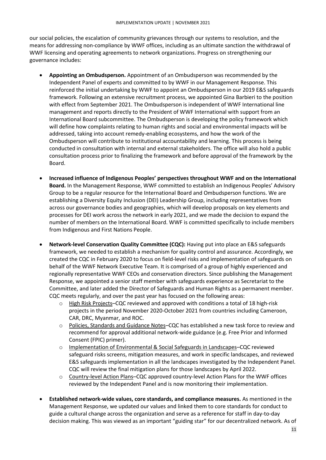our social policies, the escalation of community grievances through our systems to resolution, and the means for addressing non-compliance by WWF offices, including as an ultimate sanction the withdrawal of WWF licensing and operating agreements to network organizations. Progress on strengthening our governance includes:

- **Appointing an Ombudsperson.** Appointment of an Ombudsperson was recommended by the Independent Panel of experts and committed to by WWF in our Management Response. This reinforced the initial undertaking by WWF to appoint an Ombudsperson in our 2019 E&S safeguards framework. Following an extensive recruitment process, we appointed Gina Barbieri to the position with effect from September 2021. The Ombudsperson is independent of WWF International line management and reports directly to the President of WWF International with support from an International Board subcommittee. The Ombudsperson is developing the policy framework which will define how complaints relating to human rights and social and environmental impacts will be addressed, taking into account remedy-enabling ecosystems, and how the work of the Ombudsperson will contribute to institutional accountability and learning. This process is being conducted in consultation with internal and external stakeholders. The office will also hold a public consultation process prior to finalizing the framework and before approval of the framework by the Board.
- **Increased influence of Indigenous Peoples' perspectives throughout WWF and on the International Board.** In the Management Response, WWF committed to establish an Indigenous Peoples' Advisory Group to be a regular resource for the International Board and Ombudsperson functions. We are establishing a Diversity Equity Inclusion (DEI) Leadership Group, including representatives from across our governance bodies and geographies, which will develop proposals on key elements and processes for DEI work across the network in early 2021, and we made the decision to expand the number of members on the International Board. WWF is committed specifically to include members from Indigenous and First Nations People.
- **Network-level Conservation Quality Committee (CQC):** Having put into place an E&S safeguards framework, we needed to establish a mechanism for quality control and assurance. Accordingly, we created the CQC in February 2020 to focus on field-level risks and implementation of safeguards on behalf of the WWF Network Executive Team. It is comprised of a group of highly experienced and regionally representative WWF CEOs and conservation directors. Since publishing the Management Response, we appointed a senior staff member with safeguards experience as Secretariat to the Committee, and later added the Director of Safeguards and Human Rights as a permanent member. CQC meets regularly, and over the past year has focused on the following areas:
	- $\circ$  High Risk Projects–CQC reviewed and approved with conditions a total of 18 high-risk projects in the period November 2020-October 2021 from countries including Cameroon, CAR, DRC, Myanmar, and ROC.
	- o Policies, Standards and Guidance Notes–CQC has established a new task force to review and recommend for approval additional network-wide guidance (e.g. Free Prior and Informed Consent (FPIC) primer).
	- o Implementation of Environmental & Social Safeguards in Landscapes–CQC reviewed safeguard risks screens, mitigation measures, and work in specific landscapes, and reviewed E&S safeguards implementation in all the landscapes investigated by the Independent Panel. CQC will review the final mitigation plans for those landscapes by April 2022.
	- o Country-level Action Plans–CQC approved country-level Action Plans for the WWF offices reviewed by the Independent Panel and is now monitoring their implementation.
- **Established network-wide values, core standards, and compliance measures.** As mentioned in the Management Response, we updated our values and linked them to core standards for conduct to guide a cultural change across the organization and serve as a reference for staff in day-to-day decision making. This was viewed as an important "guiding star" for our decentralized network. As of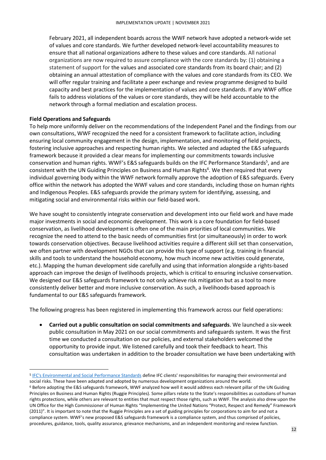February 2021, all independent boards across the WWF network have adopted a network-wide set of values and core standards. We further developed network-level accountability measures to ensure that all national organizations adhere to these values and core standards. All national organizations are now required to assure compliance with the core standards by: (1) obtaining a statement of support for the values and associated core standards from its board chair; and (2) obtaining an annual attestation of compliance with the values and core standards from its CEO. We will offer regular training and facilitate a peer exchange and review programme designed to build capacity and best practices for the implementation of values and core standards. If any WWF office fails to address violations of the values or core standards, they will be held accountable to the network through a formal mediation and escalation process.

#### <span id="page-14-0"></span>**Field Operations and Safeguards**

To help more uniformly deliver on the recommendations of the Independent Panel and the findings from our own consultations, WWF recognized the need for a consistent framework to facilitate action, including ensuring local community engagement in the design, implementation, and monitoring of field projects, fostering inclusive approaches and respecting human rights. We selected and adapted the E&S safeguards framework because it provided a clear means for implementing our commitments towards inclusive conservation and human rights. WWF's E&S safeguards builds on the IFC Performance Standards<sup>5</sup>, and are consistent with the UN Guiding Principles on Business and Human Rights<sup>6</sup>. We then required that every individual governing body within the WWF network formally approve the adoption of E&S safeguards. Every office within the network has adopted the WWF values and core standards, including those on human rights and Indigenous Peoples. E&S safeguards provide the primary system for identifying, assessing, and mitigating social and environmental risks within our field-based work.

We have sought to consistently integrate conservation and development into our field work and have made major investments in social and economic development. This work is a core foundation for field-based conservation, as livelihood development is often one of the main priorities of local communities. We recognize the need to attend to the basic needs of communities first (or simultaneously) in order to work towards conservation objectives. Because livelihood activities require a different skill set than conservation, we often partner with development NGOs that can provide this type of support (e.g. training in financial skills and tools to understand the household economy, how much income new activities could generate, etc.). Mapping the human development side carefully and using that information alongside a rights-based approach can improve the design of livelihoods projects, which is critical to ensuring inclusive conservation. We designed our E&S safeguards framework to not only achieve risk mitigation but as a tool to more consistently deliver better and more inclusive conservation. As such, a livelihoods-based approach is fundamental to our E&S safeguards framework.

The following progress has been registered in implementing this framework across our field operations:

• **Carried out a public consultation on social commitments and safeguards**. We launched a six-week public consultation in May 2021 on our social commitments and safeguards system. It was the first time we conducted a consultation on our policies, and external stakeholders welcomed the opportunity to provide input. We listened carefully and took their feedback to heart. This consultation was undertaken in addition to the broader consultation we have been undertaking with

<sup>&</sup>lt;sup>5</sup> [IFC's Environmental and Social Performance Standards](https://www.ifc.org/wps/wcm/connect/Topics_Ext_Content/IFC_External_Corporate_Site/Sustainability-At-IFC/Policies-Standards/Performance-Standards) define IFC clients' responsibilities for managing their environmental and social risks. These have been adapted and adopted by numerous development organizations around the world.

<sup>6</sup> Before adopting the E&S safeguards framework, WWF analyzed how well it would address each relevant pillar of the UN Guiding Principles on Business and Human Rights (Ruggie Principles). Some pillars relate to the State's responsibilities as custodians of human rights protections, while others are relevant to entities that must respect those rights, such as WWF. The analysis also drew upon the UN Office for the High Commissioner of Human Rights "Implementing the United Nations "Protect, Respect and Remedy" Framework (2011)". It is important to note that the Ruggie Principles are a set of guiding principles for corporations to aim for and not a compliance system. WWF's new proposed E&S safeguards framework is a compliance system, and thus comprised of policies, procedures, guidance, tools, quality assurance, grievance mechanisms, and an independent monitoring and review function.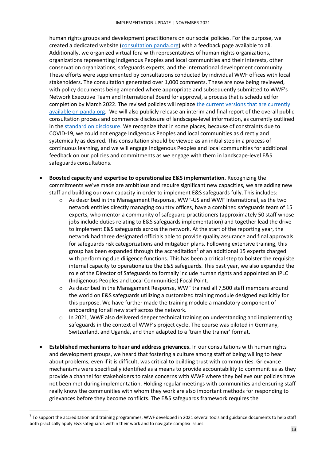human rights groups and development practitioners on our social policies. For the purpose, we created a dedicated website [\(consultation.panda.org\)](https://consultation.panda.org/) with a feedback page available to all. Additionally, we organized virtual fora with representatives of human rights organizations, organizations representing Indigenous Peoples and local communities and their interests, other conservation organizations, safeguards experts, and the international development community. These efforts were supplemented by consultations conducted by individual WWF offices with local stakeholders. The consultation generated over 1,000 comments. These are now being reviewed, with policy documents being amended where appropriate and subsequently submitted to WWF's Network Executive Team and International Board for approval, a process that is scheduled for completion by March 2022. The revised policies will replace the current versions that are currently [available on panda.org.](https://wwf.panda.org/discover/people_and_conservation/advancing_social_policies_and_principles/) We will also publicly release an interim and final report of the overall public consultation process and commence disclosure of landscape-level information, as currently outlined in the [standard on disclosure.](https://wwfint.awsassets.panda.org/downloads/2__standard_on_disclosure.pdf) We recognize that in some places, because of constraints due to COVID-19, we could not engage Indigenous Peoples and local communities as directly and systemically as desired. This consultation should be viewed as an initial step in a process of continuous learning, and we will engage Indigenous Peoples and local communities for additional feedback on our policies and commitments as we engage with them in landscape-level E&S safeguards consultations.

- **Boosted capacity and expertise to operationalize E&S implementation.** Recognizing the commitments we've made are ambitious and require significant new capacities, we are adding new staff and building our own capacity in order to implement E&S safeguards fully. This includes:
	- o As described in the Management Response, WWF-US and WWF International, as the two network entities directly managing country offices, have a combined safeguards team of 15 experts, who mentor a community of safeguard practitioners (approximately 50 staff whose jobs include duties relating to E&S safeguards implementation) and together lead the drive to implement E&S safeguards across the network. At the start of the reporting year, the network had three designated officials able to provide quality assurance and final approvals for safeguards risk categorizations and mitigation plans. Following extensive training, this group has been expanded through the accreditation<sup>7</sup> of an additional 15 experts charged with performing due diligence functions. This has been a critical step to bolster the requisite internal capacity to operationalize the E&S safeguards. This past year, we also expanded the role of the Director of Safeguards to formally include human rights and appointed an IPLC (Indigenous Peoples and Local Communities) Focal Point.
	- o As described in the Management Response, WWF trained all 7,500 staff members around the world on E&S safeguards utilizing a customized training module designed explicitly for this purpose. We have further made the training module a mandatory component of onboarding for all new staff across the network.
	- $\circ$  In 2021, WWF also delivered deeper technical training on understanding and implementing safeguards in the context of WWF's project cycle. The course was piloted in Germany, Switzerland, and Uganda, and then adapted to a 'train the trainer' format.
- **Established mechanisms to hear and address grievances.** In our consultations with human rights and development groups, we heard that fostering a culture among staff of being willing to hear about problems, even if it is difficult, was critical to building trust with communities. Grievance mechanisms were specifically identified as a means to provide accountability to communities as they provide a channel for stakeholders to raise concerns with WWF where they believe our policies have not been met during implementation. Holding regular meetings with communities and ensuring staff really know the communities with whom they work are also important methods for responding to grievances before they become conflicts. The E&S safeguards framework requires the

 $^7$  To support the accreditation and training programmes, WWF developed in 2021 several tools and guidance documents to help staff both practically apply E&S safeguards within their work and to navigate complex issues.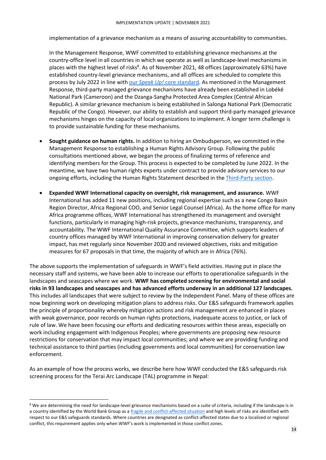implementation of a grievance mechanism as a means of assuring accountability to communities.

In the Management Response, WWF committed to establishing grievance mechanisms at the country-office level in all countries in which we operate as well as landscape-level mechanisms in places with the highest level of risks<sup>8</sup>. As of November 2021, 48 offices (approximately 63%) have established country-level grievance mechanisms, and all offices are scheduled to complete this process by July 2022 in line with our *Speak Up!* [core standard.](https://wwfint.awsassets.panda.org/downloads/core_standard___speak_up_vmar2021.pdf) As mentioned in the Management Response, third-party managed grievance mechanisms have already been established in Lobéké National Park (Cameroon) and the Dzanga-Sangha Protected Area Complex (Central African Republic). A similar grievance mechanism is being established in Salonga National Park (Democratic Republic of the Congo). However, our ability to establish and support third-party managed grievance mechanisms hinges on the capacity of local organizations to implement. A longer term challenge is to provide sustainable funding for these mechanisms.

- **Sought guidance on human rights.** In addition to hiring an Ombudsperson, we committed in the Management Response to establishing a Human Rights Advisory Group. Following the public consultations mentioned above, we began the process of finalizing terms of reference and identifying members for the Group. This process is expected to be completed by June 2022. In the meantime, we have two human rights experts under contract to provide advisory services to our ongoing efforts, including the Human Rights Statement described in th[e Third-Party section.](#page-20-0)
- **Expanded WWF International capacity on oversight, risk management, and assurance.** WWF International has added 11 new positions, including regional expertise such as a new Congo Basin Region Director, Africa Regional COO, and Senior Legal Counsel (Africa). As the home office for many Africa programme offices, WWF International has strengthened its management and oversight functions, particularly in managing high-risk projects, grievance mechanisms, transparency, and accountability. The WWF International Quality Assurance Committee, which supports leaders of country offices managed by WWF International in improving conservation delivery for greater impact, has met regularly since November 2020 and reviewed objectives, risks and mitigation measures for 67 proposals in that time, the majority of which are in Africa (76%).

The above supports the implementation of safeguards in WWF's field activities. Having put in place the necessary staff and systems, we have been able to increase our efforts to operationalize safeguards in the landscapes and seascapes where we work. **WWF has completed screening for environmental and social risks in 93 landscapes and seascapes and has advanced efforts underway in an additional 127 landscapes.** This includes all landscapes that were subject to review by the Independent Panel. Many of these offices are now beginning work on developing mitigation plans to address risks. Our E&S safeguards framework applies the principle of proportionality whereby mitigation actions and risk management are enhanced in places with weak governance, poor records on human rights protections, inadequate access to justice, or lack of rule of law. We have been focusing our efforts and dedicating resources within these areas, especially on work including engagement with Indigenous Peoples; where governments are proposing new resource restrictions for conservation that may impact local communities; and where we are providing funding and technical assistance to third parties (including governments and local communities) for conservation law enforcement.

As an example of how the process works, we describe here how WWF conducted the E&S safeguards risk screening process for the Terai Arc Landscape (TAL) programme in Nepal:

<sup>&</sup>lt;sup>8</sup> We are determining the need for landscape-level grievance mechanisms based on a suite of criteria, including if the landscape is in a country identified by the World Bank Group as a [fragile and conflict-affected situation](https://www.worldbank.org/en/topic/fragilityconflictviolence/brief/harmonized-list-of-fragile-situations) and high levels of risks are identified with respect to our E&S safeguards standards. Where countries are designated as conflict-affected states due to a localized or regional conflict, this requirement applies only when WWF's work is implemented in those conflict zones.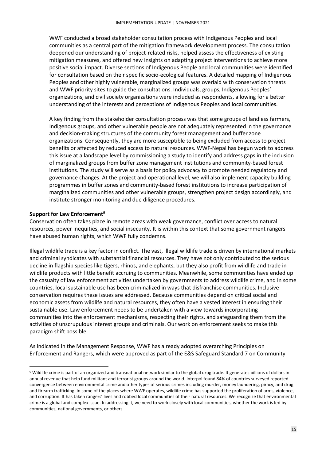WWF conducted a broad stakeholder consultation process with Indigenous Peoples and local communities as a central part of the mitigation framework development process. The consultation deepened our understanding of project-related risks, helped assess the effectiveness of existing mitigation measures, and offered new insights on adapting project interventions to achieve more positive social impact. Diverse sections of Indigenous People and local communities were identified for consultation based on their specific socio-ecological features. A detailed mapping of Indigenous Peoples and other highly vulnerable, marginalized groups was overlaid with conservation threats and WWF priority sites to guide the consultations. Individuals, groups, Indigenous Peoples' organizations, and civil society organizations were included as respondents, allowing for a better understanding of the interests and perceptions of Indigenous Peoples and local communities.

A key finding from the stakeholder consultation process was that some groups of landless farmers, Indigenous groups, and other vulnerable people are not adequately represented in the governance and decision-making structures of the community forest management and buffer zone organizations. Consequently, they are more susceptible to being excluded from access to project benefits or affected by reduced access to natural resources. WWF-Nepal has begun work to address this issue at a landscape level by commissioning a study to identify and address gaps in the inclusion of marginalized groups from buffer zone management institutions and community-based forest institutions. The study will serve as a basis for policy advocacy to promote needed regulatory and governance changes. At the project and operational level, we will also implement capacity building programmes in buffer zones and community-based forest institutions to increase participation of marginalized communities and other vulnerable groups, strengthen project design accordingly, and institute stronger monitoring and due diligence procedures.

#### <span id="page-17-0"></span>**Support for Law Enforcement<sup>9</sup>**

Conservation often takes place in remote areas with weak governance, conflict over access to natural resources, power inequities, and social insecurity. It is within this context that some government rangers have abused human rights, which WWF fully condemns.

Illegal wildlife trade is a key factor in conflict. The vast, illegal wildlife trade is driven by international markets and criminal syndicates with substantial financial resources. They have not only contributed to the serious decline in flagship species like tigers, rhinos, and elephants, but they also profit from wildlife and trade in wildlife products with little benefit accruing to communities. Meanwhile, some communities have ended up the casualty of law enforcement activities undertaken by governments to address wildlife crime, and in some countries, local sustainable use has been criminalized in ways that disfranchise communities. Inclusive conservation requires these issues are addressed. Because communities depend on critical social and economic assets from wildlife and natural resources, they often have a vested interest in ensuring their sustainable use. Law enforcement needs to be undertaken with a view towards incorporating communities into the enforcement mechanisms, respecting their rights, and safeguarding them from the activities of unscrupulous interest groups and criminals. Our work on enforcement seeks to make this paradigm shift possible.

As indicated in the Management Response, WWF has already adopted overarching Principles on Enforcement and Rangers, which were approved as part of the E&S Safeguard Standard 7 on Community

<sup>9</sup> Wildlife crime is part of an organized and transnational network similar to the global drug trade. It generates billions of dollars in annual revenue that help fund militant and terrorist groups around the world. Interpol found 84% of countries surveyed reported convergence between environmental crime and other types of serious crimes including murder, money laundering, piracy, and drug and firearm trafficking. In some of the places where WWF operates, wildlife crime has supported the proliferation of arms, violence, and corruption. It has taken rangers' lives and robbed local communities of their natural resources. We recognize that environmental crime is a global and complex issue. In addressing it, we need to work closely with local communities, whether the work is led by communities, national governments, or others.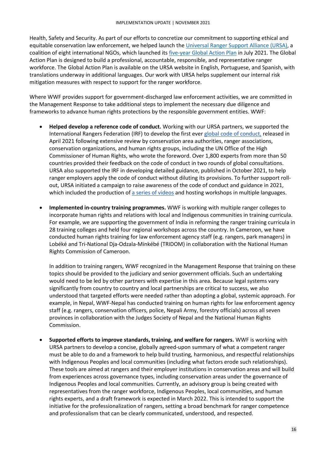Health, Safety and Security. As part of our efforts to concretize our commitment to supporting ethical and equitable conservation law enforcement, we helped launch th[e Universal Ranger Support Alliance \(URSA\),](https://ursa4rangers.org/) a coalition of eight international NGOs, which launched it[s five-year Global Action Plan](https://www.ursa4rangers.org/ursa4rangers-resources/) in July 2021. The Global Action Plan is designed to build a professional, accountable, responsible, and representative ranger workforce. The Global Action Plan is available on the URSA website in English, Portuguese, and Spanish, with translations underway in additional languages. Our work with URSA helps supplement our internal risk mitigation measures with respect to support for the ranger workforce.

Where WWF provides support for government-discharged law enforcement activities, we are committed in the Management Response to take additional steps to implement the necessary due diligence and frameworks to advance human rights protections by the responsible government entities. WWF:

- **Helped develop a reference code of conduct.** Working with our URSA partners, we supported the International Rangers Federation (IRF) to develop the first ever [global code of conduct,](https://www.ursa4rangers.org/ursa4rangers-resources/) released in April 2021 following extensive review by conservation area authorities, ranger associations, conservation organizations, and human rights groups, including the UN Office of the High Commissioner of Human Rights, who wrote the foreword. Over 1,800 experts from more than 50 countries provided their feedback on the code of conduct in two rounds of global consultations. URSA also supported the IRF in developing detailed guidance, published in October 2021, to help ranger employers apply the code of conduct without diluting its provisions. To further support rollout, URSA initiated a campaign to raise awareness of the code of conduct and guidance in 2021, which included the production of [a series of videos](https://www.ursa4rangers.org/videos/) and hosting workshops in multiple languages.
- **Implemented in-country training programmes.** WWF is working with multiple ranger colleges to incorporate human rights and relations with local and Indigenous communities in training curricula. For example, we are supporting the government of India in reforming the ranger training curricula in 28 training colleges and held four regional workshops across the country. In Cameroon, we have conducted human rights training for law enforcement agency staff (e.g. rangers, park managers) in Lobéké and Tri-National Dja-Odzala-Minkébé (TRIDOM) in collaboration with the National Human Rights Commission of Cameroon.

In addition to training rangers, WWF recognized in the Management Response that training on these topics should be provided to the judiciary and senior government officials. Such an undertaking would need to be led by other partners with expertise in this area. Because legal systems vary significantly from country to country and local partnerships are critical to success, we also understood that targeted efforts were needed rather than adopting a global, systemic approach. For example, in Nepal, WWF-Nepal has conducted training on human rights for law enforcement agency staff (e.g. rangers, conservation officers, police, Nepali Army, forestry officials) across all seven provinces in collaboration with the Judges Society of Nepal and the National Human Rights Commission.

• **Supported efforts to improve standards, training, and welfare for rangers.** WWF is working with URSA partners to develop a concise, globally agreed-upon summary of what a competent ranger must be able to do and a framework to help build trusting, harmonious, and respectful relationships with Indigenous Peoples and local communities (including what factors erode such relationships). These tools are aimed at rangers and their employer institutions in conservation areas and will build from experiences across governance types, including conservation areas under the governance of Indigenous Peoples and local communities. Currently, an advisory group is being created with representatives from the ranger workforce, Indigenous Peoples, local communities, and human rights experts, and a draft framework is expected in March 2022. This is intended to support the initiative for the professionalization of rangers, setting a broad benchmark for ranger competence and professionalism that can be clearly communicated, understood, and respected.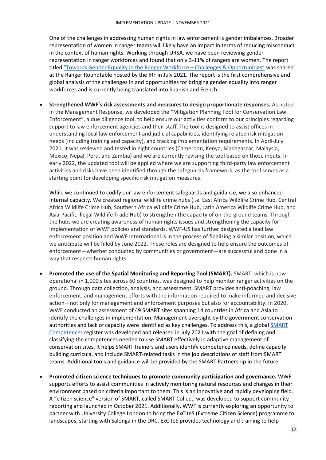One of the challenges in addressing human rights in law enforcement is gender imbalances. Broader representation of women in ranger teams will likely have an impact in terms of reducing misconduct in the context of human rights. Working through URSA, we have been reviewing gender representation in ranger workforces and found that only 3-11% of rangers are women. The report titled ["](https://www.ursa4rangers.org/ursa4rangers-resources/)[Towards Gender Equality in the Ranger Workforce](https://www.ursa4rangers.org/ursa4rangers-resources/) - Challenges & Opportunities" was shared at the Ranger Roundtable hosted by the IRF in July 2021. The report is the first comprehensive and global analysis of the challenges in and opportunities for bringing gender equality into ranger workforces and is currently being translated into Spanish and French.

• **Strengthened WWF's risk assessments and measures to design proportionate responses.** As noted in the Management Response, we developed the "Mitigation Planning Tool for Conservation Law Enforcement", a due diligence tool, to help ensure our activities conform to our principles regarding support to law enforcement agencies and their staff. The tool is designed to assist offices in understanding local law enforcement and judicial capabilities, identifying related risk mitigation needs (including training and capacity), and tracking implementation requirements. In April-July 2021, it was reviewed and tested in eight countries (Cameroon, Kenya, Madagascar, Malaysia, Mexico, Nepal, Peru, and Zambia) and we are currently revising the tool based on those inputs. In early 2022, the updated tool will be applied where we are supporting third-party law enforcement activities and risks have been identified through the safeguards framework, as the tool serves as a starting point for developing specific risk mitigation measures.

While we continued to codify our law enforcement safeguards and guidance, we also enhanced internal capacity. We created regional wildlife crime hubs (i.e. East Africa Wildlife Crime Hub, Central Africa Wildlife Crime Hub, Southern Africa Wildlife Crime Hub, Latin America Wildlife Crime Hub, and Asia-Pacific Illegal Wildlife Trade Hub) to strengthen the capacity of on-the-ground teams. Through the hubs we are creating awareness of human rights issues and strengthening the capacity for implementation of WWF policies and standards. WWF-US has further designated a lead law enforcement position and WWF International is in the process of finalizing a similar position, which we anticipate will be filled by June 2022. These roles are designed to help ensure the outcomes of enforcement—whether conducted by communities or government—are successful and done in a way that respects human rights.

- <span id="page-19-0"></span>• **Promoted the use of the Spatial Monitoring and Reporting Tool (SMART).** SMART, which is now operational in 1,000 sites across 60 countries, was designed to help monitor ranger activities on the ground. Through data collection, analysis, and assessment, SMART provides anti-poaching, law enforcement, and management efforts with the information required to make informed and decisive action—not only for management and enforcement purposes but also for accountability. In 2020, WWF conducted an assessment of 49 SMART sites spanning 14 countries in Africa and Asia to identify the challenges in implementation. Management oversight by the government conservation authorities and lack of capacity were identified as key challenges. To address this, a global [SMART](https://drive.google.com/file/d/1UUBWN0Eu1ncClLCBfOdOqMSuePYzIRJ8/view)  [Competences](https://drive.google.com/file/d/1UUBWN0Eu1ncClLCBfOdOqMSuePYzIRJ8/view) register was developed and released in July 2021 with the goal of defining and classifying the competences needed to use SMART effectively in adaptive management of conservation sites. It helps SMART trainers and users identify competence needs, define capacity building curricula, and include SMART-related tasks in the job descriptions of staff from SMART teams. Additional tools and guidance will be provided by the SMART Partnership in the future.
- **Promoted citizen science techniques to promote community participation and governance.** WWF supports efforts to assist communities in actively monitoring natural resources and changes in their environment based on criteria important to them. This is an innovative and rapidly developing field. A "citizen science" version of SMART, called SMART Collect, was developed to support community reporting and launched in October 2021. Additionally, WWF is currently exploring an opportunity to partner with University College London to bring the ExCiteS (Extreme Citizen Science) programme to landscapes, starting with Salonga in the DRC. ExCiteS provides technology and training to help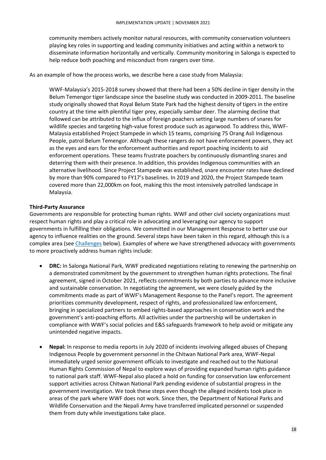community members actively monitor natural resources, with community conservation volunteers playing key roles in supporting and leading community initiatives and acting within a network to disseminate information horizontally and vertically. Community monitoring in Salonga is expected to help reduce both poaching and misconduct from rangers over time.

As an example of how the process works, we describe here a case study from Malaysia:

WWF-Malaysia's 2015-2018 survey showed that there had been a 50% decline in tiger density in the Belum Temengor tiger landscape since the baseline study was conducted in 2009-2011. The baseline study originally showed that Royal Belum State Park had the highest density of tigers in the entire country at the time with plentiful tiger prey, especially sambar deer. The alarming decline that followed can be attributed to the influx of foreign poachers setting large numbers of snares for wildlife species and targeting high-value forest produce such as agarwood. To address this, WWF-Malaysia established Project Stampede in which 15 teams, comprising 75 Orang Asli Indigenous People, patrol Belum Temengor. Although these rangers do not have enforcement powers, they act as the eyes and ears for the enforcement authorities and report poaching incidents to aid enforcement operations. These teams frustrate poachers by continuously dismantling snares and deterring them with their presence. In addition, this provides Indigenous communities with an alternative livelihood. Since Project Stampede was established, snare encounter rates have declined by more than 90% compared to FY17's baselines. In 2019 and 2020, the Project Stampede team covered more than 22,000km on foot, making this the most intensively patrolled landscape in Malaysia.

#### <span id="page-20-0"></span>**Third-Party Assurance**

Governments are responsible for protecting human rights. WWF and other civil society organizations must respect human rights and play a critical role in advocating and leveraging our agency to support governments in fulfilling their obligations. We committed in our Management Response to better use our agency to influence realities on the ground. Several steps have been taken in this regard, although this is a complex area (se[e Challenges](#page-21-0) below). Examples of where we have strengthened advocacy with governments to more proactively address human rights include:

- **DRC:** In Salonga National Park, WWF predicated negotiations relating to renewing the partnership on a demonstrated commitment by the government to strengthen human rights protections. The final agreement, signed in October 2021, reflects commitments by both parties to advance more inclusive and sustainable conservation. In negotiating the agreement, we were closely guided by the commitments made as part of WWF's Management Response to the Panel's report. The agreement prioritizes community development, respect of rights, and professionalized law enforcement, bringing in specialized partners to embed rights-based approaches in conservation work and the government's anti-poaching efforts. All activities under the partnership will be undertaken in compliance with WWF's social policies and E&S safeguards framework to help avoid or mitigate any unintended negative impacts.
- **Nepal:** In response to media reports in July 2020 of incidents involving alleged abuses of Chepang Indigenous People by government personnel in the Chitwan National Park area, WWF-Nepal immediately urged senior government officials to investigate and reached out to the National Human Rights Commission of Nepal to explore ways of providing expanded human rights guidance to national park staff. WWF-Nepal also placed a hold on funding for conservation law enforcement support activities across Chitwan National Park pending evidence of substantial progress in the government investigation. We took these steps even though the alleged incidents took place in areas of the park where WWF does not work. Since then, the Department of National Parks and Wildlife Conservation and the Nepali Army have transferred implicated personnel or suspended them from duty while investigations take place.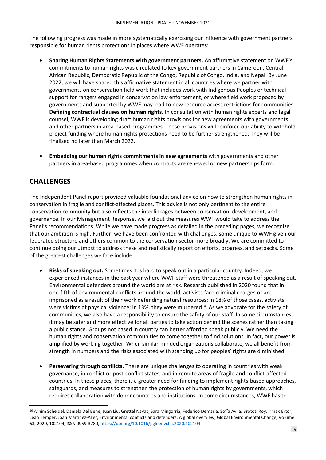The following progress was made in more systematically exercising our influence with government partners responsible for human rights protections in places where WWF operates:

- **Sharing Human Rights Statements with government partners.** An affirmative statement on WWF's commitments to human rights was circulated to key government partners in Cameroon, Central African Republic, Democratic Republic of the Congo, Republic of Congo, India, and Nepal. By June 2022, we will have shared this affirmative statement in all countries where we partner with governments on conservation field work that includes work with Indigenous Peoples or technical support for rangers engaged in conservation law enforcement, or where field work proposed by governments and supported by WWF may lead to new resource access restrictions for communities. **Defining contractual clauses on human rights.** In consultation with human rights experts and legal counsel, WWF is developing draft human rights provisions for new agreements with governments and other partners in area-based programmes. These provisions will reinforce our ability to withhold project funding where human rights protections need to be further strengthened. They will be finalized no later than March 2022.
- <span id="page-21-0"></span>• **Embedding our human rights commitments in new agreements** with governments and other partners in area-based programmes when contracts are renewed or new partnerships form.

## **CHALLENGES**

The Independent Panel report provided valuable foundational advice on how to strengthen human rights in conservation in fragile and conflict-affected places. This advice is not only pertinent to the entire conservation community but also reflects the interlinkages between conservation, development, and governance. In our Management Response, we laid out the measures WWF would take to address the Panel's recommendations. While we have made progress as detailed in the preceding pages, we recognize that our ambition is high. Further, we have been confronted with challenges, some unique to WWF given our federated structure and others common to the conservation sector more broadly. We are committed to continue doing our utmost to address these and realistically report on efforts, progress, and setbacks. Some of the greatest challenges we face include:

- **Risks of speaking out.** Sometimes it is hard to speak out in a particular country. Indeed, we experienced instances in the past year where WWF staff were threatened as a result of speaking out. Environmental defenders around the world are at risk. Research published in 2020 found that in one-fifth of environmental conflicts around the world, activists face criminal charges or are imprisoned as a result of their work defending natural resources: in 18% of those cases, activists were victims of physical violence; in 13%, they were murdered<sup>10</sup>. As we advocate for the safety of communities, we also have a responsibility to ensure the safety of our staff. In some circumstances, it may be safer and more effective for all parties to take action behind the scenes rather than taking a public stance. Groups not based in country can better afford to speak publicly. We need the human rights and conservation communities to come together to find solutions. In fact, our power is amplified by working together. When similar-minded organizations collaborate, we all benefit from strength in numbers and the risks associated with standing up for peoples' rights are diminished.
- **Persevering through conflicts.** There are unique challenges to operating in countries with weak governance, in conflict or post-conflict states, and in remote areas of fragile and conflict-affected countries. In these places, there is a greater need for funding to implement rights-based approaches, safeguards, and measures to strengthen the protection of human rights by governments, which requires collaboration with donor countries and institutions. In some circumstances, WWF has to

<sup>&</sup>lt;sup>10</sup> Arnim Scheidel, Daniela Del Bene, Juan Liu, Grettel Navas, Sara Mingorría, Federico Demaria, Sofía Avila, Brototi Roy, Irmak Ertör, Leah Temper, Joan Martínez-Alier, Environmental conflicts and defenders: A global overview, Global Environmental Change, Volume 63, 2020, 102104, ISSN 0959-3780[, https://doi.org/10.1016/j.gloenvcha.2020.102104.](https://doi.org/10.1016/j.gloenvcha.2020.102104)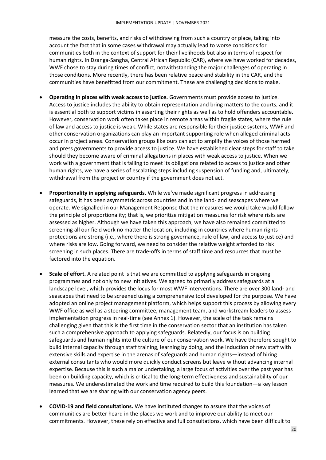measure the costs, benefits, and risks of withdrawing from such a country or place, taking into account the fact that in some cases withdrawal may actually lead to worse conditions for communities both in the context of support for their livelihoods but also in terms of respect for human rights. In Dzanga-Sangha, Central African Republic (CAR), where we have worked for decades, WWF chose to stay during times of conflict, notwithstanding the major challenges of operating in those conditions. More recently, there has been relative peace and stability in the CAR, and the communities have benefitted from our commitment. These are challenging decisions to make.

- **Operating in places with weak access to justice.** Governments must provide access to justice. Access to justice includes the ability to obtain representation and bring matters to the courts, and it is essential both to support victims in asserting their rights as well as to hold offenders accountable. However, conservation work often takes place in remote areas within fragile states, where the rule of law and access to justice is weak. While states are responsible for their justice systems, WWF and other conservation organizations can play an important supporting role when alleged criminal acts occur in project areas. Conservation groups like ours can act to amplify the voices of those harmed and press governments to provide access to justice. We have established clear steps for staff to take should they become aware of criminal allegations in places with weak access to justice. When we work with a government that is failing to meet its obligations related to access to justice and other human rights, we have a series of escalating steps including suspension of funding and, ultimately, withdrawal from the project or country if the government does not act.
- **Proportionality in applying safeguards.** While we've made significant progress in addressing safeguards, it has been asymmetric across countries and in the land- and seascapes where we operate. We signalled in our Management Response that the measures we would take would follow the principle of proportionality; that is, we prioritize mitigation measures for risk where risks are assessed as higher. Although we have taken this approach, we have also remained committed to screening all our field work no matter the location, including in countries where human rights protections are strong (i.e., where there is strong governance, rule of law, and access to justice) and where risks are low. Going forward, we need to consider the relative weight afforded to risk screening in such places. There are trade-offs in terms of staff time and resources that must be factored into the equation.
- **Scale of effort.** A related point is that we are committed to applying safeguards in ongoing programmes and not only to new initiatives. We agreed to primarily address safeguards at a landscape level, which provides the locus for most WWF interventions. There are over 300 land- and seascapes that need to be screened using a comprehensive tool developed for the purpose. We have adopted an online project management platform, which helps support this process by allowing every WWF office as well as a steering committee, management team, and workstream leaders to assess implementation progress in real-time (see Annex 1). However, the scale of the task remains challenging given that this is the first time in the conservation sector that an institution has taken such a comprehensive approach to applying safeguards. Relatedly, our focus is on building safeguards and human rights into the culture of our conservation work. We have therefore sought to build internal capacity through staff training, learning by doing, and the induction of new staff with extensive skills and expertise in the arenas of safeguards and human rights—instead of hiring external consultants who would more quickly conduct screens but leave without advancing internal expertise. Because this is such a major undertaking, a large focus of activities over the past year has been on building capacity, which is critical to the long-term effectiveness and sustainability of our measures. We underestimated the work and time required to build this foundation—a key lesson learned that we are sharing with our conservation agency peers.
- **COVID-19 and field consultations.** We have instituted changes to assure that the voices of communities are better heard in the places we work and to improve our ability to meet our commitments. However, these rely on effective and full consultations, which have been difficult to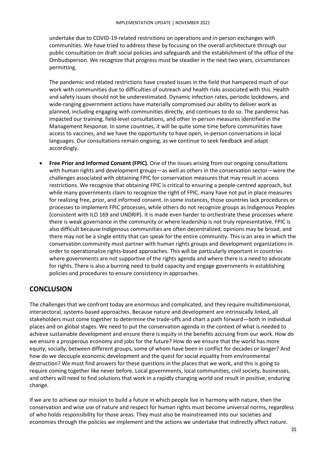undertake due to COVID-19-related restrictions on operations and in-person exchanges with communities. We have tried to address these by focusing on the overall architecture through our public consultation on draft social policies and safeguards and the establishment of the office of the Ombudsperson. We recognize that progress must be steadier in the next two years, circumstances permitting.

The pandemic and related restrictions have created issues in the field that hampered much of our work with communities due to difficulties of outreach and health risks associated with this. Health and safety issues should not be underestimated. Dynamic infection rates, periodic lockdowns, and wide-ranging government actions have materially compromised our ability to deliver work as planned, including engaging with communities directly, and continues to do so. The pandemic has impacted our training, field-level consultations, and other in-person measures identified in the Management Response. In some countries, it will be quite some time before communities have access to vaccines, and we have the opportunity to have open, in-person conversations in local languages. Our consultations remain ongoing, as we continue to seek feedback and adapt accordingly.

• **Free Prior and Informed Consent (FPIC).** One of the issues arising from our ongoing consultations with human rights and development groups—as well as others in the conservation sector—were the challenges associated with obtaining FPIC for conservation measures that may result in access restrictions. We recognize that obtaining FPIC is critical to ensuring a people-centred approach, but while many governments claim to recognize the right of FPIC, many have not put in place measures for realizing free, prior, and informed consent. In some instances, those countries lack procedures or processes to implement FPIC processes, while others do not recognize groups as Indigenous Peoples (consistent with ILO 169 and UNDRIP). It is made even harder to orchestrate these processes where there is weak governance in the community or where leadership is not truly representative. FPIC is also difficult because Indigenous communities are often decentralized, opinions may be broad, and there may not be a single entity that can speak for the entire community. This is an area in which the conservation community must partner with human rights groups and development organizations in order to operationalize rights-based approaches. This will be particularly important in countries where governments are not supportive of the rights agenda and where there is a need to advocate for rights. There is also a burning need to build capacity and engage governments in establishing policies and procedures to ensure consistency in approaches.

## <span id="page-23-0"></span>**CONCLUSION**

The challenges that we confront today are enormous and complicated, and they require multidimensional, intersectoral, systems-based approaches. Because nature and development are intrinsically linked, all stakeholders must come together to determine the trade-offs and chart a path forward—both in individual places and on global stages. We need to put the conservation agenda in the context of what is needed to achieve sustainable development and ensure there is equity in the benefits accruing from our work. How do we ensure a prosperous economy and jobs for the future? How do we ensure that the world has more equity, socially, between different groups, some of whom have been in conflict for decades or longer? And how do we decouple economic development and the quest for social equality from environmental destruction? We must find answers for these questions in the places that we work, and this is going to require coming together like never before. Local governments, local communities, civil society, businesses, and others will need to find solutions that work in a rapidly changing world and result in positive, enduring change.

If we are to achieve our mission to build a future in which people live in harmony with nature, then the conservation and wise use of nature and respect for human rights must become universal norms, regardless of who holds responsibility for those areas. They must also be mainstreamed into our societies and economies through the policies we implement and the actions we undertake that indirectly affect nature.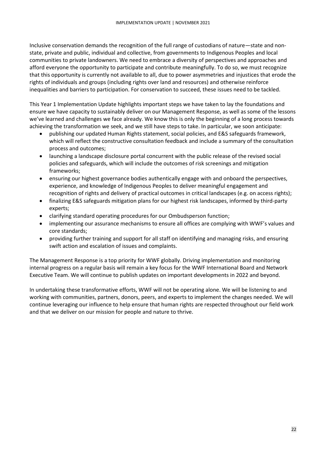Inclusive conservation demands the recognition of the full range of custodians of nature—state and nonstate, private and public, individual and collective, from governments to Indigenous Peoples and local communities to private landowners. We need to embrace a diversity of perspectives and approaches and afford everyone the opportunity to participate and contribute meaningfully. To do so, we must recognize that this opportunity is currently not available to all, due to power asymmetries and injustices that erode the rights of individuals and groups (including rights over land and resources) and otherwise reinforce inequalities and barriers to participation. For conservation to succeed, these issues need to be tackled.

This Year 1 Implementation Update highlights important steps we have taken to lay the foundations and ensure we have capacity to sustainably deliver on our Management Response, as well as some of the lessons we've learned and challenges we face already. We know this is only the beginning of a long process towards achieving the transformation we seek, and we still have steps to take. In particular, we soon anticipate:

- publishing our updated Human Rights statement, social policies, and E&S safeguards framework, which will reflect the constructive consultation feedback and include a summary of the consultation process and outcomes;
- launching a landscape disclosure portal concurrent with the public release of the revised social policies and safeguards, which will include the outcomes of risk screenings and mitigation frameworks;
- ensuring our highest governance bodies authentically engage with and onboard the perspectives, experience, and knowledge of Indigenous Peoples to deliver meaningful engagement and recognition of rights and delivery of practical outcomes in critical landscapes (e.g. on access rights);
- finalizing E&S safeguards mitigation plans for our highest risk landscapes, informed by third-party experts;
- clarifying standard operating procedures for our Ombudsperson function;
- implementing our assurance mechanisms to ensure all offices are complying with WWF's values and core standards;
- providing further training and support for all staff on identifying and managing risks, and ensuring swift action and escalation of issues and complaints.

The Management Response is a top priority for WWF globally. Driving implementation and monitoring internal progress on a regular basis will remain a key focus for the WWF International Board and Network Executive Team. We will continue to publish updates on important developments in 2022 and beyond.

In undertaking these transformative efforts, WWF will not be operating alone. We will be listening to and working with communities, partners, donors, peers, and experts to implement the changes needed. We will continue leveraging our influence to help ensure that human rights are respected throughout our field work and that we deliver on our mission for people and nature to thrive.